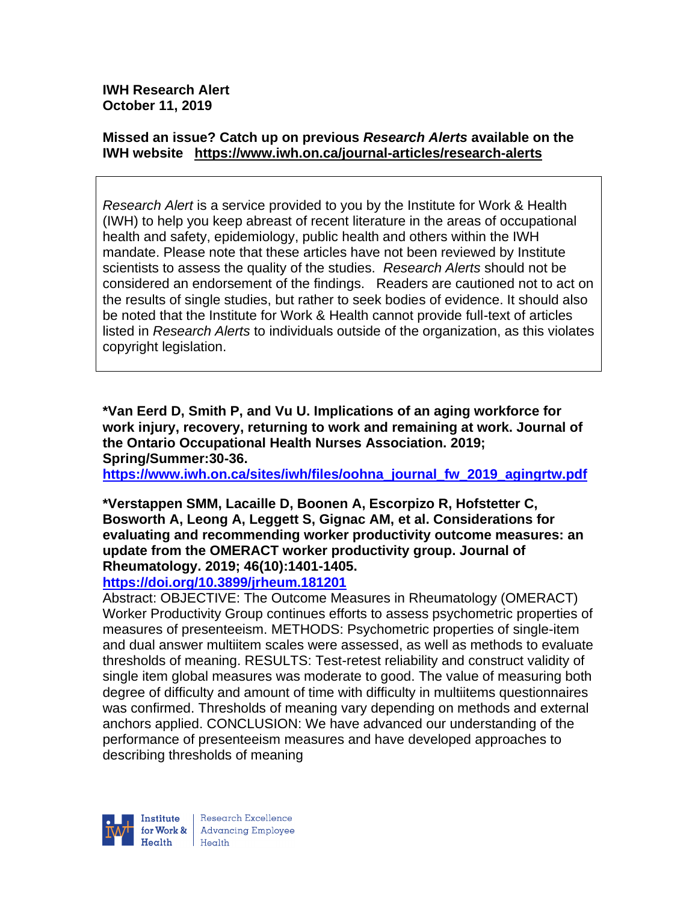**IWH Research Alert October 11, 2019**

## **Missed an issue? Catch up on previous** *Research Alerts* **available on the [IWH website](http://www.iwh.on.ca/research-alerts) <https://www.iwh.on.ca/journal-articles/research-alerts>**

*Research Alert* is a service provided to you by the Institute for Work & Health (IWH) to help you keep abreast of recent literature in the areas of occupational health and safety, epidemiology, public health and others within the IWH mandate. Please note that these articles have not been reviewed by Institute scientists to assess the quality of the studies. *Research Alerts* should not be considered an endorsement of the findings. Readers are cautioned not to act on the results of single studies, but rather to seek bodies of evidence. It should also be noted that the Institute for Work & Health cannot provide full-text of articles listed in *Research Alerts* to individuals outside of the organization, as this violates copyright legislation.

**\*Van Eerd D, Smith P, and Vu U. Implications of an aging workforce for work injury, recovery, returning to work and remaining at work. Journal of the Ontario Occupational Health Nurses Association. 2019; Spring/Summer:30-36.** 

**[https://www.iwh.on.ca/sites/iwh/files/oohna\\_journal\\_fw\\_2019\\_agingrtw.pdf](https://www.iwh.on.ca/sites/iwh/files/oohna_journal_fw_2019_agingrtw.pdf)**

## **\*Verstappen SMM, Lacaille D, Boonen A, Escorpizo R, Hofstetter C, Bosworth A, Leong A, Leggett S, Gignac AM, et al. Considerations for evaluating and recommending worker productivity outcome measures: an update from the OMERACT worker productivity group. Journal of Rheumatology. 2019; 46(10):1401-1405.**

## **<https://doi.org/10.3899/jrheum.181201>**

Abstract: OBJECTIVE: The Outcome Measures in Rheumatology (OMERACT) Worker Productivity Group continues efforts to assess psychometric properties of measures of presenteeism. METHODS: Psychometric properties of single-item and dual answer multiitem scales were assessed, as well as methods to evaluate thresholds of meaning. RESULTS: Test-retest reliability and construct validity of single item global measures was moderate to good. The value of measuring both degree of difficulty and amount of time with difficulty in multiitems questionnaires was confirmed. Thresholds of meaning vary depending on methods and external anchors applied. CONCLUSION: We have advanced our understanding of the performance of presenteeism measures and have developed approaches to describing thresholds of meaning

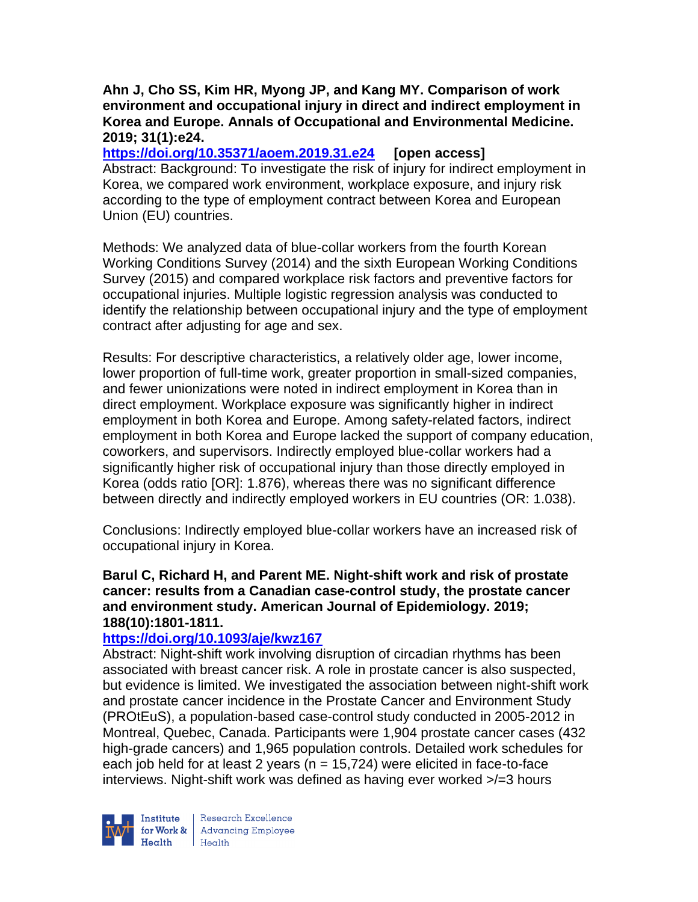## **Ahn J, Cho SS, Kim HR, Myong JP, and Kang MY. Comparison of work environment and occupational injury in direct and indirect employment in Korea and Europe. Annals of Occupational and Environmental Medicine. 2019; 31(1):e24.**

**<https://doi.org/10.35371/aoem.2019.31.e24> [open access]** Abstract: Background: To investigate the risk of injury for indirect employment in Korea, we compared work environment, workplace exposure, and injury risk according to the type of employment contract between Korea and European Union (EU) countries.

Methods: We analyzed data of blue-collar workers from the fourth Korean Working Conditions Survey (2014) and the sixth European Working Conditions Survey (2015) and compared workplace risk factors and preventive factors for occupational injuries. Multiple logistic regression analysis was conducted to identify the relationship between occupational injury and the type of employment contract after adjusting for age and sex.

Results: For descriptive characteristics, a relatively older age, lower income, lower proportion of full-time work, greater proportion in small-sized companies, and fewer unionizations were noted in indirect employment in Korea than in direct employment. Workplace exposure was significantly higher in indirect employment in both Korea and Europe. Among safety-related factors, indirect employment in both Korea and Europe lacked the support of company education, coworkers, and supervisors. Indirectly employed blue-collar workers had a significantly higher risk of occupational injury than those directly employed in Korea (odds ratio [OR]: 1.876), whereas there was no significant difference between directly and indirectly employed workers in EU countries (OR: 1.038).

Conclusions: Indirectly employed blue-collar workers have an increased risk of occupational injury in Korea.

**Barul C, Richard H, and Parent ME. Night-shift work and risk of prostate cancer: results from a Canadian case-control study, the prostate cancer and environment study. American Journal of Epidemiology. 2019; 188(10):1801-1811.** 

## **<https://doi.org/10.1093/aje/kwz167>**

Abstract: Night-shift work involving disruption of circadian rhythms has been associated with breast cancer risk. A role in prostate cancer is also suspected, but evidence is limited. We investigated the association between night-shift work and prostate cancer incidence in the Prostate Cancer and Environment Study (PROtEuS), a population-based case-control study conducted in 2005-2012 in Montreal, Quebec, Canada. Participants were 1,904 prostate cancer cases (432 high-grade cancers) and 1,965 population controls. Detailed work schedules for each job held for at least 2 years ( $n = 15,724$ ) were elicited in face-to-face interviews. Night-shift work was defined as having ever worked >/=3 hours



Research Excellence for Work & | Advancing Employee  $Heath$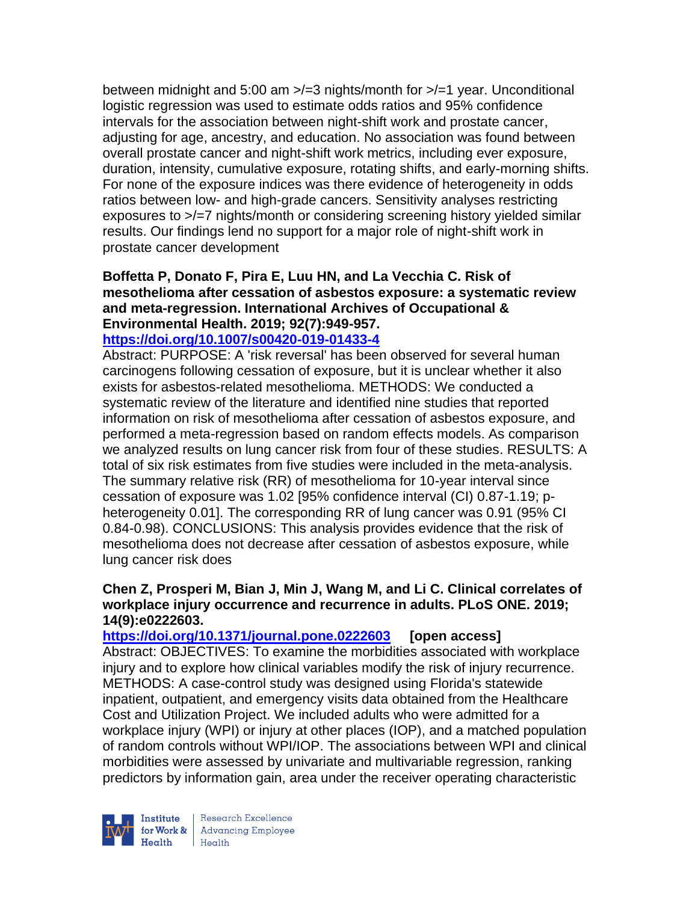between midnight and 5:00 am >/=3 nights/month for >/=1 year. Unconditional logistic regression was used to estimate odds ratios and 95% confidence intervals for the association between night-shift work and prostate cancer, adjusting for age, ancestry, and education. No association was found between overall prostate cancer and night-shift work metrics, including ever exposure, duration, intensity, cumulative exposure, rotating shifts, and early-morning shifts. For none of the exposure indices was there evidence of heterogeneity in odds ratios between low- and high-grade cancers. Sensitivity analyses restricting exposures to >/=7 nights/month or considering screening history yielded similar results. Our findings lend no support for a major role of night-shift work in prostate cancer development

# **Boffetta P, Donato F, Pira E, Luu HN, and La Vecchia C. Risk of mesothelioma after cessation of asbestos exposure: a systematic review and meta-regression. International Archives of Occupational & Environmental Health. 2019; 92(7):949-957.**

### **<https://doi.org/10.1007/s00420-019-01433-4>**

Abstract: PURPOSE: A 'risk reversal' has been observed for several human carcinogens following cessation of exposure, but it is unclear whether it also exists for asbestos-related mesothelioma. METHODS: We conducted a systematic review of the literature and identified nine studies that reported information on risk of mesothelioma after cessation of asbestos exposure, and performed a meta-regression based on random effects models. As comparison we analyzed results on lung cancer risk from four of these studies. RESULTS: A total of six risk estimates from five studies were included in the meta-analysis. The summary relative risk (RR) of mesothelioma for 10-year interval since cessation of exposure was 1.02 [95% confidence interval (CI) 0.87-1.19; pheterogeneity 0.01]. The corresponding RR of lung cancer was 0.91 (95% CI 0.84-0.98). CONCLUSIONS: This analysis provides evidence that the risk of mesothelioma does not decrease after cessation of asbestos exposure, while lung cancer risk does

#### **Chen Z, Prosperi M, Bian J, Min J, Wang M, and Li C. Clinical correlates of workplace injury occurrence and recurrence in adults. PLoS ONE. 2019; 14(9):e0222603.**

**<https://doi.org/10.1371/journal.pone.0222603> [open access]** Abstract: OBJECTIVES: To examine the morbidities associated with workplace injury and to explore how clinical variables modify the risk of injury recurrence. METHODS: A case-control study was designed using Florida's statewide inpatient, outpatient, and emergency visits data obtained from the Healthcare Cost and Utilization Project. We included adults who were admitted for a workplace injury (WPI) or injury at other places (IOP), and a matched population of random controls without WPI/IOP. The associations between WPI and clinical morbidities were assessed by univariate and multivariable regression, ranking predictors by information gain, area under the receiver operating characteristic



Research Excellence **Institute** Research Excellence<br> **For Work &**<br>
Marth Harlth Harlth  $H_{\text{eath}}$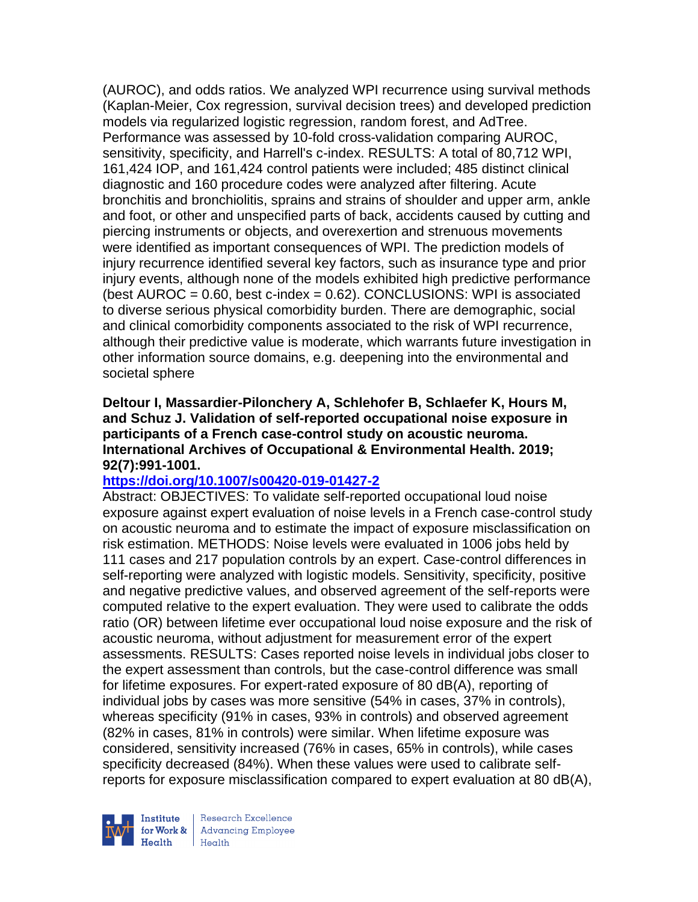(AUROC), and odds ratios. We analyzed WPI recurrence using survival methods (Kaplan-Meier, Cox regression, survival decision trees) and developed prediction models via regularized logistic regression, random forest, and AdTree. Performance was assessed by 10-fold cross-validation comparing AUROC, sensitivity, specificity, and Harrell's c-index. RESULTS: A total of 80,712 WPI, 161,424 IOP, and 161,424 control patients were included; 485 distinct clinical diagnostic and 160 procedure codes were analyzed after filtering. Acute bronchitis and bronchiolitis, sprains and strains of shoulder and upper arm, ankle and foot, or other and unspecified parts of back, accidents caused by cutting and piercing instruments or objects, and overexertion and strenuous movements were identified as important consequences of WPI. The prediction models of injury recurrence identified several key factors, such as insurance type and prior injury events, although none of the models exhibited high predictive performance (best  $AUROC = 0.60$ , best c-index =  $0.62$ ). CONCLUSIONS: WPI is associated to diverse serious physical comorbidity burden. There are demographic, social and clinical comorbidity components associated to the risk of WPI recurrence, although their predictive value is moderate, which warrants future investigation in other information source domains, e.g. deepening into the environmental and societal sphere

## **Deltour I, Massardier-Pilonchery A, Schlehofer B, Schlaefer K, Hours M, and Schuz J. Validation of self-reported occupational noise exposure in participants of a French case-control study on acoustic neuroma. International Archives of Occupational & Environmental Health. 2019; 92(7):991-1001.**

## **<https://doi.org/10.1007/s00420-019-01427-2>**

Abstract: OBJECTIVES: To validate self-reported occupational loud noise exposure against expert evaluation of noise levels in a French case-control study on acoustic neuroma and to estimate the impact of exposure misclassification on risk estimation. METHODS: Noise levels were evaluated in 1006 jobs held by 111 cases and 217 population controls by an expert. Case-control differences in self-reporting were analyzed with logistic models. Sensitivity, specificity, positive and negative predictive values, and observed agreement of the self-reports were computed relative to the expert evaluation. They were used to calibrate the odds ratio (OR) between lifetime ever occupational loud noise exposure and the risk of acoustic neuroma, without adjustment for measurement error of the expert assessments. RESULTS: Cases reported noise levels in individual jobs closer to the expert assessment than controls, but the case-control difference was small for lifetime exposures. For expert-rated exposure of 80 dB(A), reporting of individual jobs by cases was more sensitive (54% in cases, 37% in controls), whereas specificity (91% in cases, 93% in controls) and observed agreement (82% in cases, 81% in controls) were similar. When lifetime exposure was considered, sensitivity increased (76% in cases, 65% in controls), while cases specificity decreased (84%). When these values were used to calibrate selfreports for exposure misclassification compared to expert evaluation at 80 dB(A),



Research Excellence **Advancing Employee** Health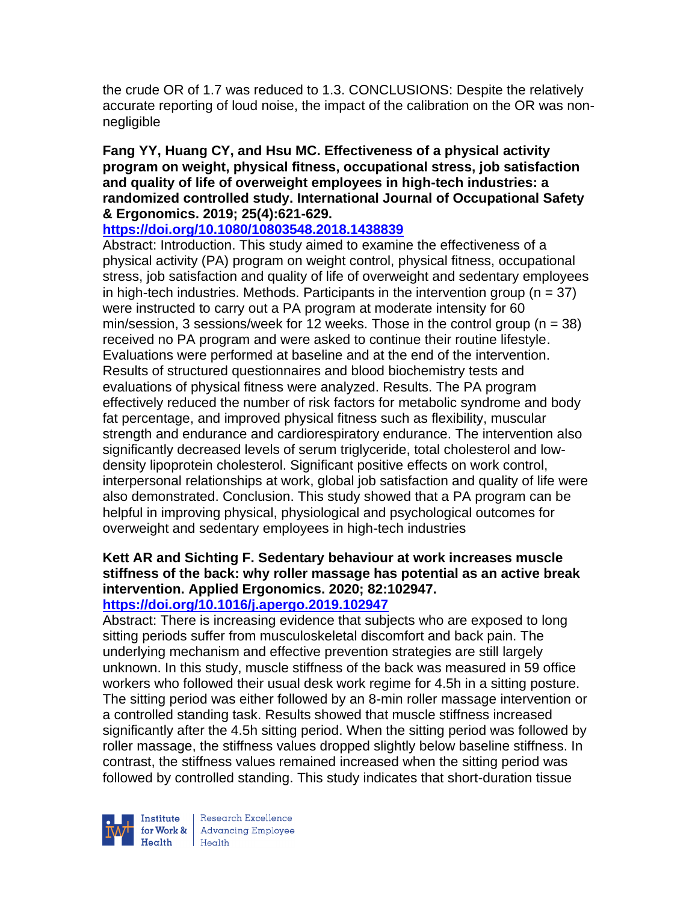the crude OR of 1.7 was reduced to 1.3. CONCLUSIONS: Despite the relatively accurate reporting of loud noise, the impact of the calibration on the OR was nonnegligible

## **Fang YY, Huang CY, and Hsu MC. Effectiveness of a physical activity program on weight, physical fitness, occupational stress, job satisfaction and quality of life of overweight employees in high-tech industries: a randomized controlled study. International Journal of Occupational Safety & Ergonomics. 2019; 25(4):621-629.**

# **<https://doi.org/10.1080/10803548.2018.1438839>**

Abstract: Introduction. This study aimed to examine the effectiveness of a physical activity (PA) program on weight control, physical fitness, occupational stress, job satisfaction and quality of life of overweight and sedentary employees in high-tech industries. Methods. Participants in the intervention group ( $n = 37$ ) were instructed to carry out a PA program at moderate intensity for 60 min/session, 3 sessions/week for 12 weeks. Those in the control group ( $n = 38$ ) received no PA program and were asked to continue their routine lifestyle. Evaluations were performed at baseline and at the end of the intervention. Results of structured questionnaires and blood biochemistry tests and evaluations of physical fitness were analyzed. Results. The PA program effectively reduced the number of risk factors for metabolic syndrome and body fat percentage, and improved physical fitness such as flexibility, muscular strength and endurance and cardiorespiratory endurance. The intervention also significantly decreased levels of serum triglyceride, total cholesterol and lowdensity lipoprotein cholesterol. Significant positive effects on work control, interpersonal relationships at work, global job satisfaction and quality of life were also demonstrated. Conclusion. This study showed that a PA program can be helpful in improving physical, physiological and psychological outcomes for overweight and sedentary employees in high-tech industries

# **Kett AR and Sichting F. Sedentary behaviour at work increases muscle stiffness of the back: why roller massage has potential as an active break intervention. Applied Ergonomics. 2020; 82:102947.**

## **<https://doi.org/10.1016/j.apergo.2019.102947>**

Abstract: There is increasing evidence that subjects who are exposed to long sitting periods suffer from musculoskeletal discomfort and back pain. The underlying mechanism and effective prevention strategies are still largely unknown. In this study, muscle stiffness of the back was measured in 59 office workers who followed their usual desk work regime for 4.5h in a sitting posture. The sitting period was either followed by an 8-min roller massage intervention or a controlled standing task. Results showed that muscle stiffness increased significantly after the 4.5h sitting period. When the sitting period was followed by roller massage, the stiffness values dropped slightly below baseline stiffness. In contrast, the stiffness values remained increased when the sitting period was followed by controlled standing. This study indicates that short-duration tissue



Research Excellence **Institute** Research Excellence<br> **For Work &**<br>
Marth Harlth Harlth  $Heath$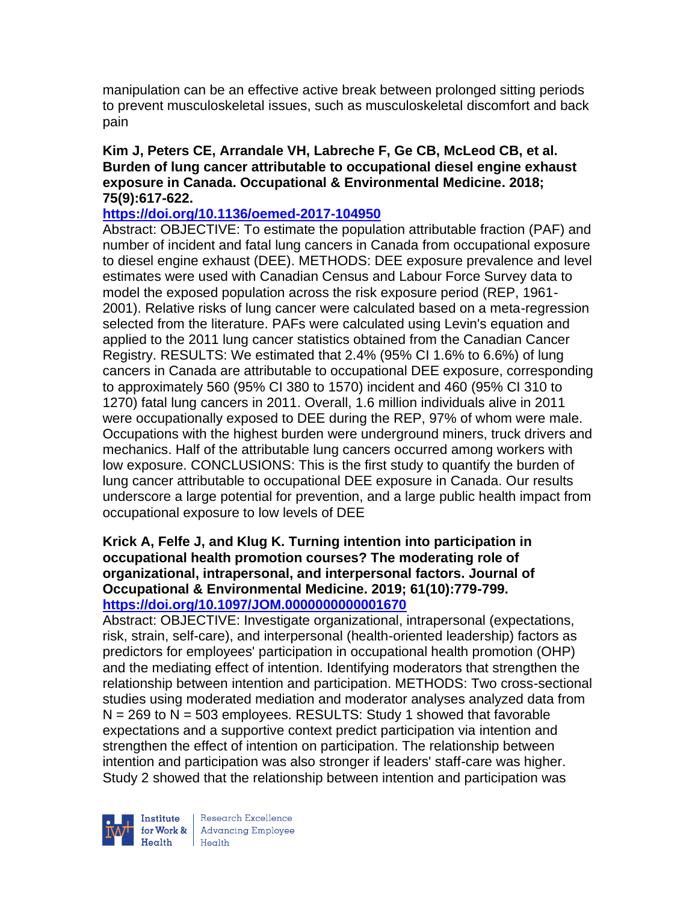manipulation can be an effective active break between prolonged sitting periods to prevent musculoskeletal issues, such as musculoskeletal discomfort and back pain

### **Kim J, Peters CE, Arrandale VH, Labreche F, Ge CB, McLeod CB, et al. Burden of lung cancer attributable to occupational diesel engine exhaust exposure in Canada. Occupational & Environmental Medicine. 2018; 75(9):617-622.**

## **<https://doi.org/10.1136/oemed-2017-104950>**

Abstract: OBJECTIVE: To estimate the population attributable fraction (PAF) and number of incident and fatal lung cancers in Canada from occupational exposure to diesel engine exhaust (DEE). METHODS: DEE exposure prevalence and level estimates were used with Canadian Census and Labour Force Survey data to model the exposed population across the risk exposure period (REP, 1961- 2001). Relative risks of lung cancer were calculated based on a meta-regression selected from the literature. PAFs were calculated using Levin's equation and applied to the 2011 lung cancer statistics obtained from the Canadian Cancer Registry. RESULTS: We estimated that 2.4% (95% CI 1.6% to 6.6%) of lung cancers in Canada are attributable to occupational DEE exposure, corresponding to approximately 560 (95% CI 380 to 1570) incident and 460 (95% CI 310 to 1270) fatal lung cancers in 2011. Overall, 1.6 million individuals alive in 2011 were occupationally exposed to DEE during the REP, 97% of whom were male. Occupations with the highest burden were underground miners, truck drivers and mechanics. Half of the attributable lung cancers occurred among workers with low exposure. CONCLUSIONS: This is the first study to quantify the burden of lung cancer attributable to occupational DEE exposure in Canada. Our results underscore a large potential for prevention, and a large public health impact from occupational exposure to low levels of DEE

## **Krick A, Felfe J, and Klug K. Turning intention into participation in occupational health promotion courses? The moderating role of organizational, intrapersonal, and interpersonal factors. Journal of Occupational & Environmental Medicine. 2019; 61(10):779-799. <https://doi.org/10.1097/JOM.0000000000001670>**

Abstract: OBJECTIVE: Investigate organizational, intrapersonal (expectations, risk, strain, self-care), and interpersonal (health-oriented leadership) factors as predictors for employees' participation in occupational health promotion (OHP) and the mediating effect of intention. Identifying moderators that strengthen the relationship between intention and participation. METHODS: Two cross-sectional studies using moderated mediation and moderator analyses analyzed data from  $N = 269$  to  $N = 503$  employees. RESULTS: Study 1 showed that favorable expectations and a supportive context predict participation via intention and strengthen the effect of intention on participation. The relationship between intention and participation was also stronger if leaders' staff-care was higher. Study 2 showed that the relationship between intention and participation was



Research Excellence **Institute** Research Excellence<br> **For Work &**<br>
Marth Harlth Harlth  $H_{\text{eath}}$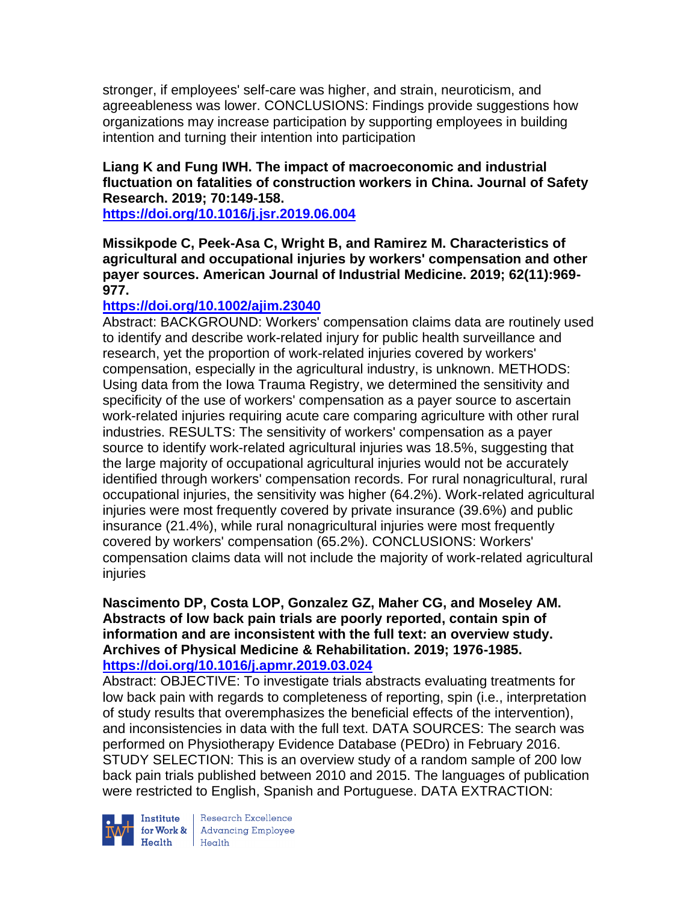stronger, if employees' self-care was higher, and strain, neuroticism, and agreeableness was lower. CONCLUSIONS: Findings provide suggestions how organizations may increase participation by supporting employees in building intention and turning their intention into participation

## **Liang K and Fung IWH. The impact of macroeconomic and industrial fluctuation on fatalities of construction workers in China. Journal of Safety Research. 2019; 70:149-158.**

**<https://doi.org/10.1016/j.jsr.2019.06.004>** 

**Missikpode C, Peek-Asa C, Wright B, and Ramirez M. Characteristics of agricultural and occupational injuries by workers' compensation and other payer sources. American Journal of Industrial Medicine. 2019; 62(11):969- 977.** 

# **<https://doi.org/10.1002/ajim.23040>**

Abstract: BACKGROUND: Workers' compensation claims data are routinely used to identify and describe work-related injury for public health surveillance and research, yet the proportion of work-related injuries covered by workers' compensation, especially in the agricultural industry, is unknown. METHODS: Using data from the Iowa Trauma Registry, we determined the sensitivity and specificity of the use of workers' compensation as a payer source to ascertain work-related injuries requiring acute care comparing agriculture with other rural industries. RESULTS: The sensitivity of workers' compensation as a payer source to identify work-related agricultural injuries was 18.5%, suggesting that the large majority of occupational agricultural injuries would not be accurately identified through workers' compensation records. For rural nonagricultural, rural occupational injuries, the sensitivity was higher (64.2%). Work-related agricultural injuries were most frequently covered by private insurance (39.6%) and public insurance (21.4%), while rural nonagricultural injuries were most frequently covered by workers' compensation (65.2%). CONCLUSIONS: Workers' compensation claims data will not include the majority of work-related agricultural injuries

**Nascimento DP, Costa LOP, Gonzalez GZ, Maher CG, and Moseley AM. Abstracts of low back pain trials are poorly reported, contain spin of information and are inconsistent with the full text: an overview study. Archives of Physical Medicine & Rehabilitation. 2019; 1976-1985. <https://doi.org/10.1016/j.apmr.2019.03.024>** 

Abstract: OBJECTIVE: To investigate trials abstracts evaluating treatments for low back pain with regards to completeness of reporting, spin (i.e., interpretation of study results that overemphasizes the beneficial effects of the intervention), and inconsistencies in data with the full text. DATA SOURCES: The search was performed on Physiotherapy Evidence Database (PEDro) in February 2016. STUDY SELECTION: This is an overview study of a random sample of 200 low back pain trials published between 2010 and 2015. The languages of publication were restricted to English, Spanish and Portuguese. DATA EXTRACTION:



**Institute** Research Excellence<br> **for Work &** Advancing Employee<br> **Health** Health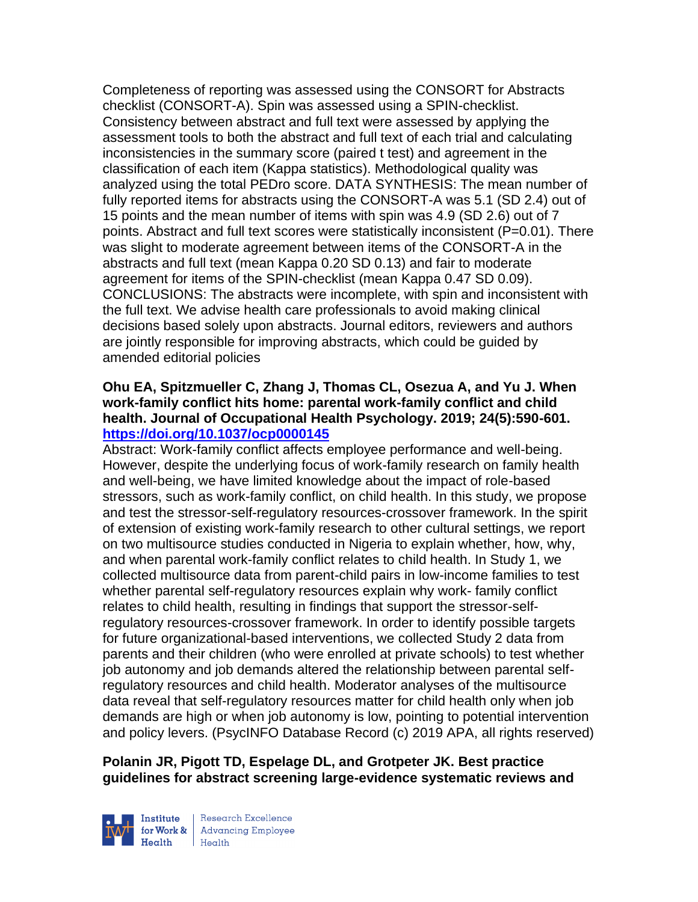Completeness of reporting was assessed using the CONSORT for Abstracts checklist (CONSORT-A). Spin was assessed using a SPIN-checklist. Consistency between abstract and full text were assessed by applying the assessment tools to both the abstract and full text of each trial and calculating inconsistencies in the summary score (paired t test) and agreement in the classification of each item (Kappa statistics). Methodological quality was analyzed using the total PEDro score. DATA SYNTHESIS: The mean number of fully reported items for abstracts using the CONSORT-A was 5.1 (SD 2.4) out of 15 points and the mean number of items with spin was 4.9 (SD 2.6) out of 7 points. Abstract and full text scores were statistically inconsistent (P=0.01). There was slight to moderate agreement between items of the CONSORT-A in the abstracts and full text (mean Kappa 0.20 SD 0.13) and fair to moderate agreement for items of the SPIN-checklist (mean Kappa 0.47 SD 0.09). CONCLUSIONS: The abstracts were incomplete, with spin and inconsistent with the full text. We advise health care professionals to avoid making clinical decisions based solely upon abstracts. Journal editors, reviewers and authors are jointly responsible for improving abstracts, which could be guided by amended editorial policies

### **Ohu EA, Spitzmueller C, Zhang J, Thomas CL, Osezua A, and Yu J. When work-family conflict hits home: parental work-family conflict and child health. Journal of Occupational Health Psychology. 2019; 24(5):590-601. <https://doi.org/10.1037/ocp0000145>**

Abstract: Work-family conflict affects employee performance and well-being. However, despite the underlying focus of work-family research on family health and well-being, we have limited knowledge about the impact of role-based stressors, such as work-family conflict, on child health. In this study, we propose and test the stressor-self-regulatory resources-crossover framework. In the spirit of extension of existing work-family research to other cultural settings, we report on two multisource studies conducted in Nigeria to explain whether, how, why, and when parental work-family conflict relates to child health. In Study 1, we collected multisource data from parent-child pairs in low-income families to test whether parental self-regulatory resources explain why work- family conflict relates to child health, resulting in findings that support the stressor-selfregulatory resources-crossover framework. In order to identify possible targets for future organizational-based interventions, we collected Study 2 data from parents and their children (who were enrolled at private schools) to test whether job autonomy and job demands altered the relationship between parental selfregulatory resources and child health. Moderator analyses of the multisource data reveal that self-regulatory resources matter for child health only when job demands are high or when job autonomy is low, pointing to potential intervention and policy levers. (PsycINFO Database Record (c) 2019 APA, all rights reserved)

# **Polanin JR, Pigott TD, Espelage DL, and Grotpeter JK. Best practice guidelines for abstract screening large-evidence systematic reviews and**



Research Excellence for Work & | Advancing Employee  $H_{\text{eath}}$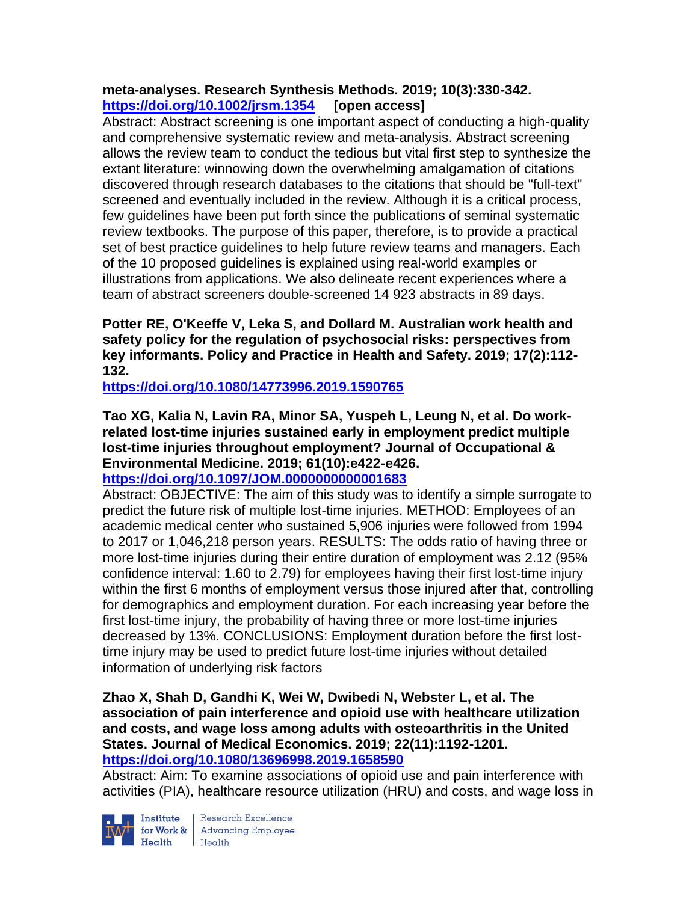# **meta-analyses. Research Synthesis Methods. 2019; 10(3):330-342. <https://doi.org/10.1002/jrsm.1354> [open access]**

Abstract: Abstract screening is one important aspect of conducting a high-quality and comprehensive systematic review and meta-analysis. Abstract screening allows the review team to conduct the tedious but vital first step to synthesize the extant literature: winnowing down the overwhelming amalgamation of citations discovered through research databases to the citations that should be "full-text" screened and eventually included in the review. Although it is a critical process, few guidelines have been put forth since the publications of seminal systematic review textbooks. The purpose of this paper, therefore, is to provide a practical set of best practice guidelines to help future review teams and managers. Each of the 10 proposed guidelines is explained using real-world examples or illustrations from applications. We also delineate recent experiences where a team of abstract screeners double-screened 14 923 abstracts in 89 days.

**Potter RE, O'Keeffe V, Leka S, and Dollard M. Australian work health and safety policy for the regulation of psychosocial risks: perspectives from key informants. Policy and Practice in Health and Safety. 2019; 17(2):112- 132.** 

**<https://doi.org/10.1080/14773996.2019.1590765>** 

**Tao XG, Kalia N, Lavin RA, Minor SA, Yuspeh L, Leung N, et al. Do workrelated lost-time injuries sustained early in employment predict multiple lost-time injuries throughout employment? Journal of Occupational & Environmental Medicine. 2019; 61(10):e422-e426.** 

**<https://doi.org/10.1097/JOM.0000000000001683>** 

Abstract: OBJECTIVE: The aim of this study was to identify a simple surrogate to predict the future risk of multiple lost-time injuries. METHOD: Employees of an academic medical center who sustained 5,906 injuries were followed from 1994 to 2017 or 1,046,218 person years. RESULTS: The odds ratio of having three or more lost-time injuries during their entire duration of employment was 2.12 (95% confidence interval: 1.60 to 2.79) for employees having their first lost-time injury within the first 6 months of employment versus those injured after that, controlling for demographics and employment duration. For each increasing year before the first lost-time injury, the probability of having three or more lost-time injuries decreased by 13%. CONCLUSIONS: Employment duration before the first losttime injury may be used to predict future lost-time injuries without detailed information of underlying risk factors

### **Zhao X, Shah D, Gandhi K, Wei W, Dwibedi N, Webster L, et al. The association of pain interference and opioid use with healthcare utilization and costs, and wage loss among adults with osteoarthritis in the United States. Journal of Medical Economics. 2019; 22(11):1192-1201. <https://doi.org/10.1080/13696998.2019.1658590>**

Abstract: Aim: To examine associations of opioid use and pain interference with activities (PIA), healthcare resource utilization (HRU) and costs, and wage loss in



Institute Research Excellence<br>
for Work & Advancing Employee<br>
Health Health  $Heath$